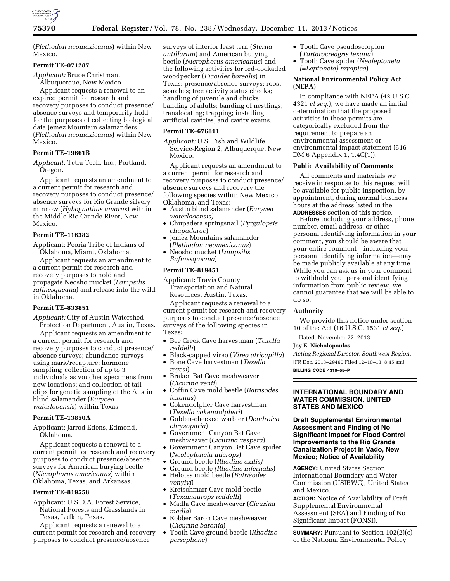

(*Plethodon neomexicanus*) within New Mexico.

# **Permit TE–071287**

*Applicant:* Bruce Christman,

Albuquerque, New Mexico. Applicant requests a renewal to an expired permit for research and recovery purposes to conduct presence/ absence surveys and temporarily hold for the purposes of collecting biological data Jemez Mountain salamanders (*Plethodon neomexicanus*) within New Mexico.

# **Permit TE–19661B**

*Applicant:* Tetra Tech, Inc., Portland, Oregon.

Applicant requests an amendment to a current permit for research and recovery purposes to conduct presence/ absence surveys for Rio Grande silvery minnow (*Hybognathus amarus*) within the Middle Rio Grande River, New Mexico.

# **Permit TE–116382**

Applicant: Peoria Tribe of Indians of Oklahoma, Miami, Oklahoma.

Applicant requests an amendment to a current permit for research and recovery purposes to hold and propagate Neosho mucket (*Lampsilis rafinesqueana*) and release into the wild in Oklahoma.

## **Permit TE–833851**

*Applicant:* City of Austin Watershed Protection Department, Austin, Texas.

Applicant requests an amendment to a current permit for research and recovery purposes to conduct presence/ absence surveys; abundance surveys using mark/recapture; hormone sampling; collection of up to 3 individuals as voucher specimens from new locations; and collection of tail clips for genetic sampling of the Austin blind salamander (*Eurycea waterlooensis*) within Texas.

#### **Permit TE–13850A**

Applicant: Jarrod Edens, Edmond, Oklahoma.

Applicant requests a renewal to a current permit for research and recovery purposes to conduct presence/absence surveys for American burying beetle (*Nicrophorus americanus*) within Oklahoma, Texas, and Arkansas.

#### **Permit TE–819558**

Applicant: U.S.D.A. Forest Service, National Forests and Grasslands in Texas, Lufkin, Texas.

Applicant requests a renewal to a current permit for research and recovery purposes to conduct presence/absence

surveys of interior least tern (*Sterna antillarum*) and American burying beetle (*Nicrophorus americanus*) and the following activities for red-cockaded woodpecker (*Picoides borealis*) in Texas: presence/absence surveys; roost searches; tree activity status checks; handling of juvenile and chicks; banding of adults; banding of nestlings; translocating; trapping; installing artificial cavities, and cavity exams.

## **Permit TE–676811**

*Applicant:* U.S. Fish and Wildlife Service-Region 2, Albuquerque, New Mexico.

Applicant requests an amendment to a current permit for research and recovery purposes to conduct presence/ absence surveys and recovery the following species within New Mexico, Oklahoma, and Texas:

- Austin blind salamander (*Eurycea waterlooensis)*
- Chupadera springsnail (*Pyrgulopsis chupadarae*)
- Jemez Mountains salamander (*Plethodon neomexicanus*)
- Neosho mucket (*Lampsilis Rafinesqueana*)

## **Permit TE–819451**

Applicant: Travis County Transportation and Natural Resources, Austin, Texas. Applicant requests a renewal to a

current permit for research and recovery purposes to conduct presence/absence surveys of the following species in Texas:

- Bee Creek Cave harvestman (*Texella reddelli*)
- Black-capped vireo (*Vireo atricapilla*)
- Bone Cave harvestman (*Texella reyesi*)
- Braken Bat Cave meshweaver (*Cicurina venii*)
- Coffin Cave mold beetle (*Batrisodes texanus*)
- Cokendolpher Cave harvestman (*Texella cokendolpheri*)
- Golden-cheeked warbler (*Dendroica chrysoparia*)
- Government Canyon Bat Cave meshweaver (*Cicurina vespera*)
- Government Canyon Bat Cave spider (*Neoleptoneta microps*)
- Ground beetle (*Rhadine exilis)*
- Ground beetle *(Rhadine infernalis*) • Helotes mold beetle (*Batrisodes venyivi*)
- Kretschmarr Cave mold beetle (*Texamaurops reddelli*)
- Madla Cave meshweaver (*Cicurina madla*)
- Robber Baron Cave meshweaver (*Cicurina baronia*)
- Tooth Cave ground beetle (*Rhadine persephone*)
- Tooth Cave pseudoscorpion (*Tartarocreagris texana*)
- Tooth Cave spider (*Neoleptoneta (=Leptoneta) myopica*)

# **National Environmental Policy Act (NEPA)**

In compliance with NEPA (42 U.S.C. 4321 *et seq.*), we have made an initial determination that the proposed activities in these permits are categorically excluded from the requirement to prepare an environmental assessment or environmental impact statement (516 DM 6 Appendix 1, 1.4C(1)).

## **Public Availability of Comments**

All comments and materials we receive in response to this request will be available for public inspection, by appointment, during normal business hours at the address listed in the **ADDRESSES** section of this notice.

Before including your address, phone number, email address, or other personal identifying information in your comment, you should be aware that your entire comment—including your personal identifying information—may be made publicly available at any time. While you can ask us in your comment to withhold your personal identifying information from public review, we cannot guarantee that we will be able to do so.

#### **Authority**

We provide this notice under section 10 of the Act (16 U.S.C. 1531 *et seq.*)

# Dated: November 22, 2013.

#### **Joy E. Nicholopoulos,**

*Acting Regional Director, Southwest Region.*  [FR Doc. 2013–29460 Filed 12–10–13; 8:45 am] **BILLING CODE 4310–55–P** 

# **INTERNATIONAL BOUNDARY AND WATER COMMISSION, UNITED STATES AND MEXICO**

**Draft Supplemental Environmental Assessment and Finding of No Significant Impact for Flood Control Improvements to the Rio Grande Canalization Project in Vado, New Mexico; Notice of Availability** 

**AGENCY:** United States Section, International Boundary and Water Commission (USIBWC), United States and Mexico.

**ACTION:** Notice of Availability of Draft Supplemental Environmental Assessment (SEA) and Finding of No Significant Impact (FONSI).

**SUMMARY:** Pursuant to Section 102(2)(c) of the National Environmental Policy